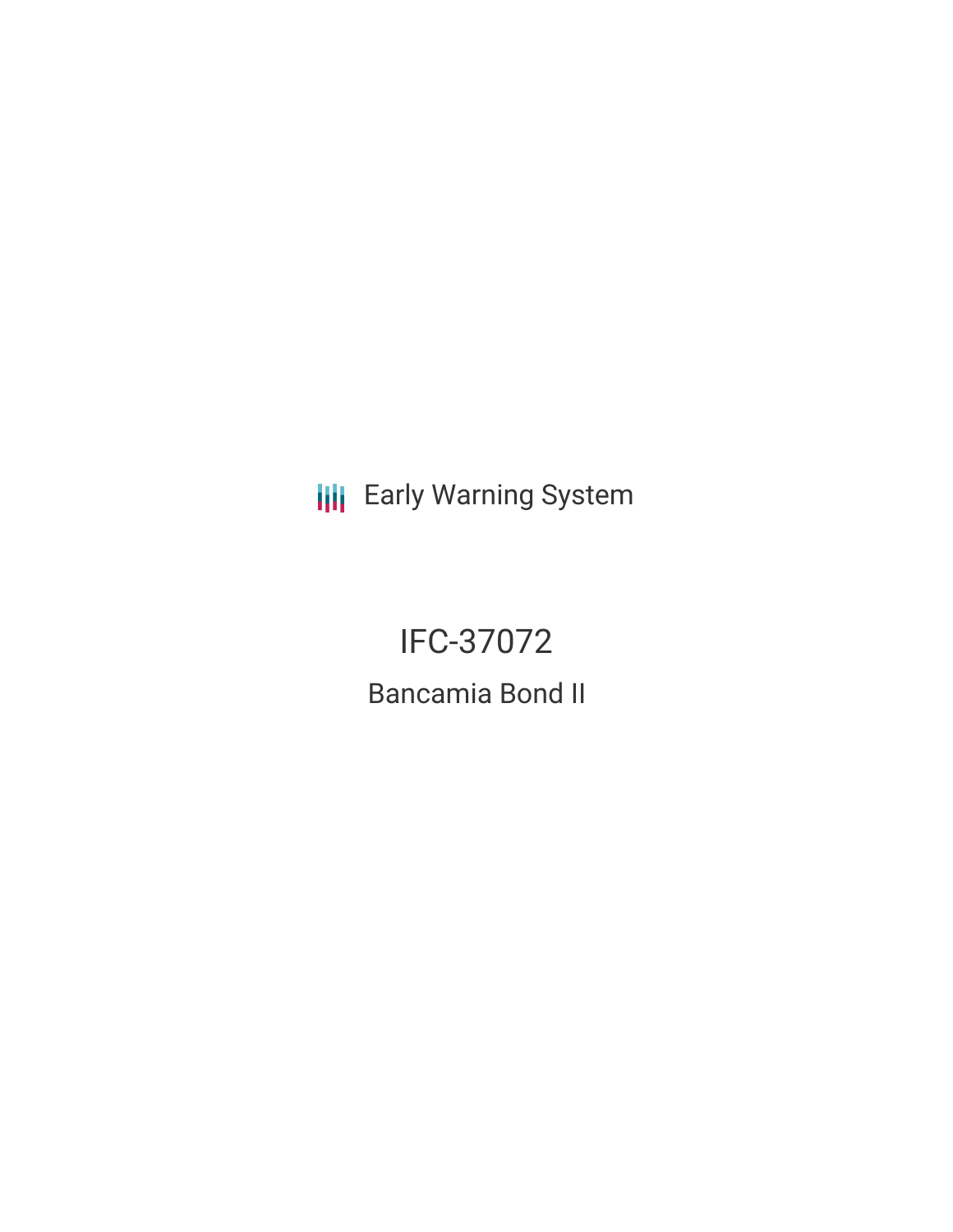**III** Early Warning System

IFC-37072 Bancamia Bond II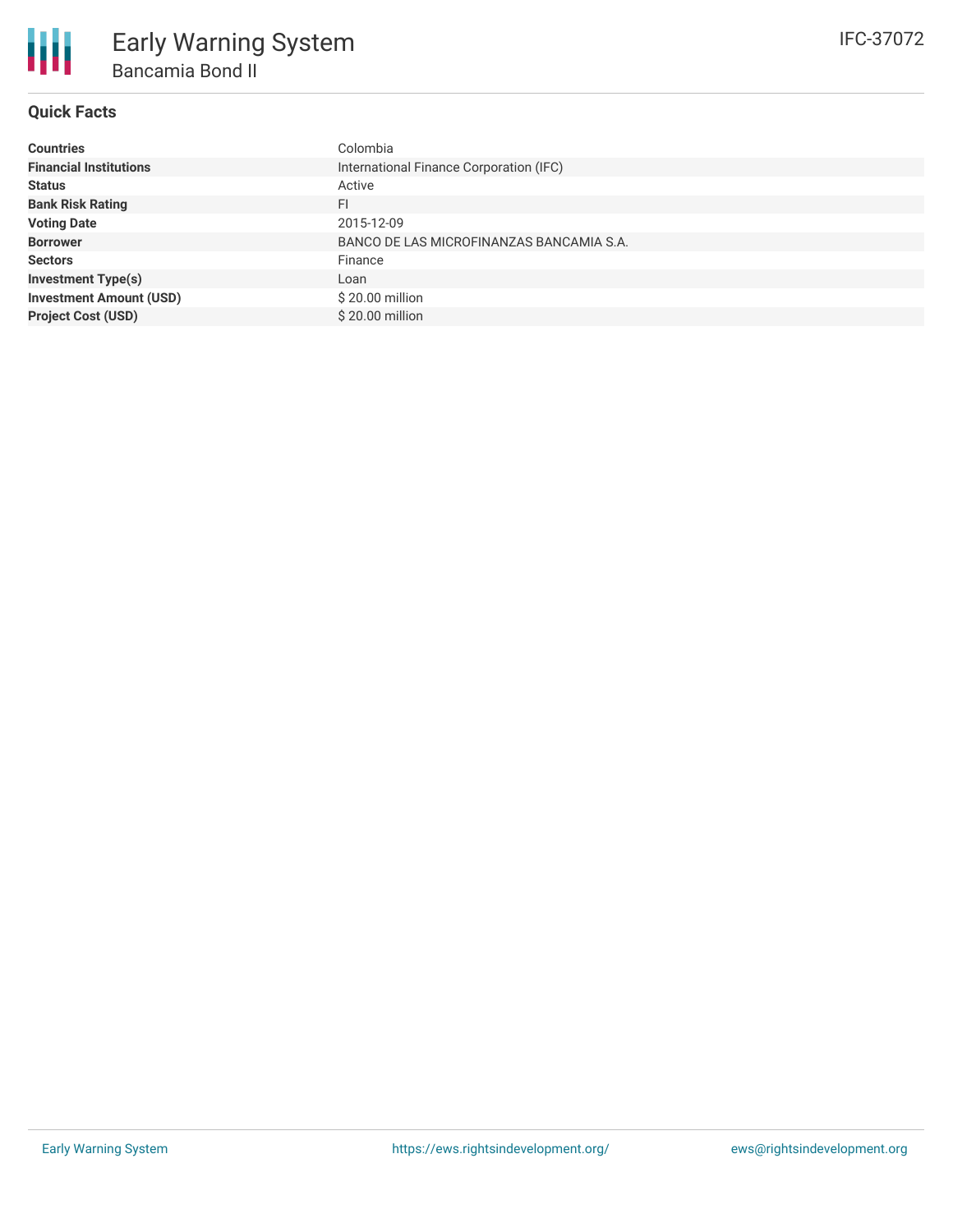

## **Quick Facts**

| <b>Countries</b>               | Colombia                                 |
|--------------------------------|------------------------------------------|
| <b>Financial Institutions</b>  | International Finance Corporation (IFC)  |
| <b>Status</b>                  | Active                                   |
| <b>Bank Risk Rating</b>        | FI                                       |
| <b>Voting Date</b>             | 2015-12-09                               |
| <b>Borrower</b>                | BANCO DE LAS MICROFINANZAS BANCAMIA S.A. |
| <b>Sectors</b>                 | Finance                                  |
| <b>Investment Type(s)</b>      | Loan                                     |
| <b>Investment Amount (USD)</b> | \$20.00 million                          |
| <b>Project Cost (USD)</b>      | \$20.00 million                          |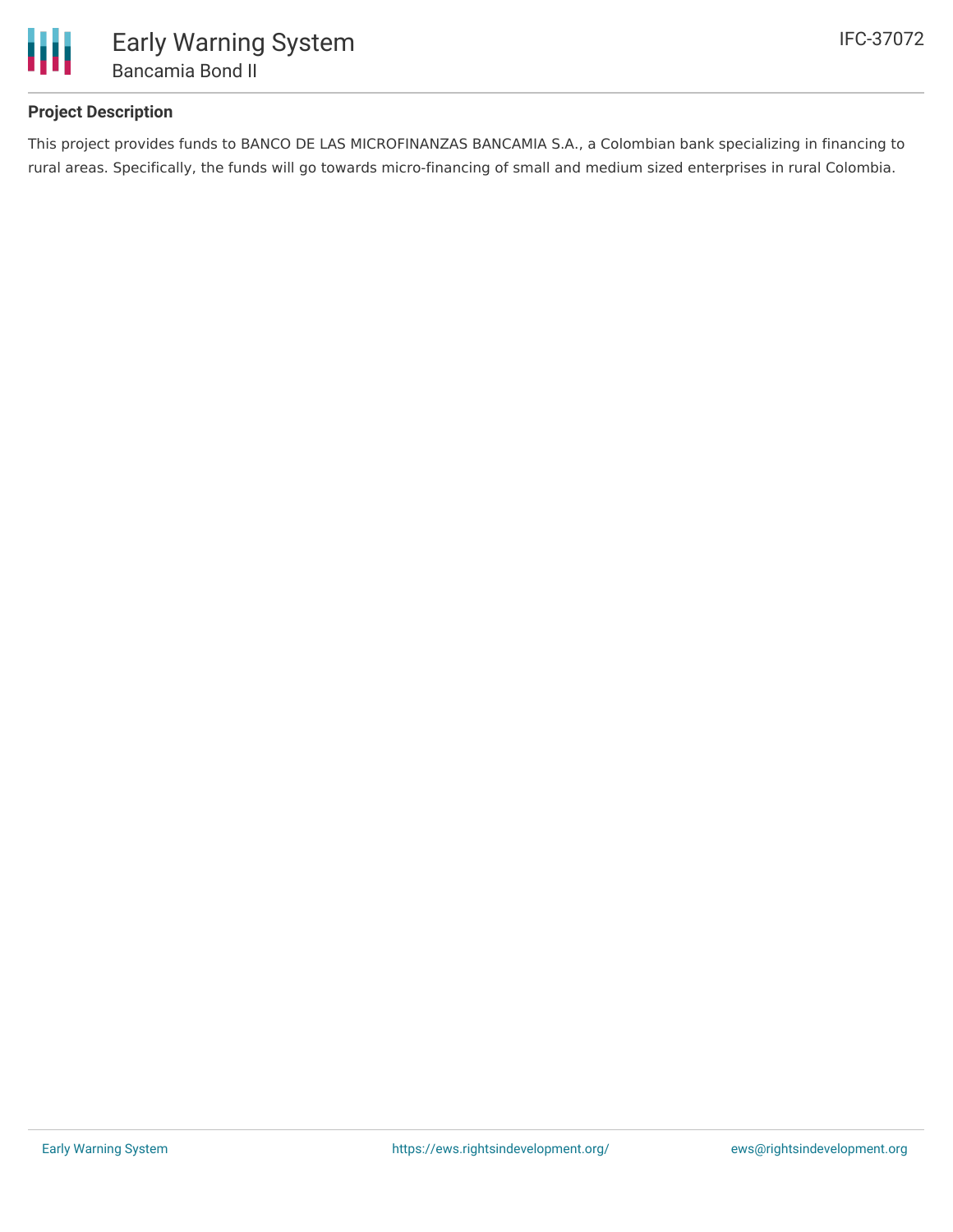

## **Project Description**

This project provides funds to BANCO DE LAS MICROFINANZAS BANCAMIA S.A., a Colombian bank specializing in financing to rural areas. Specifically, the funds will go towards micro-financing of small and medium sized enterprises in rural Colombia.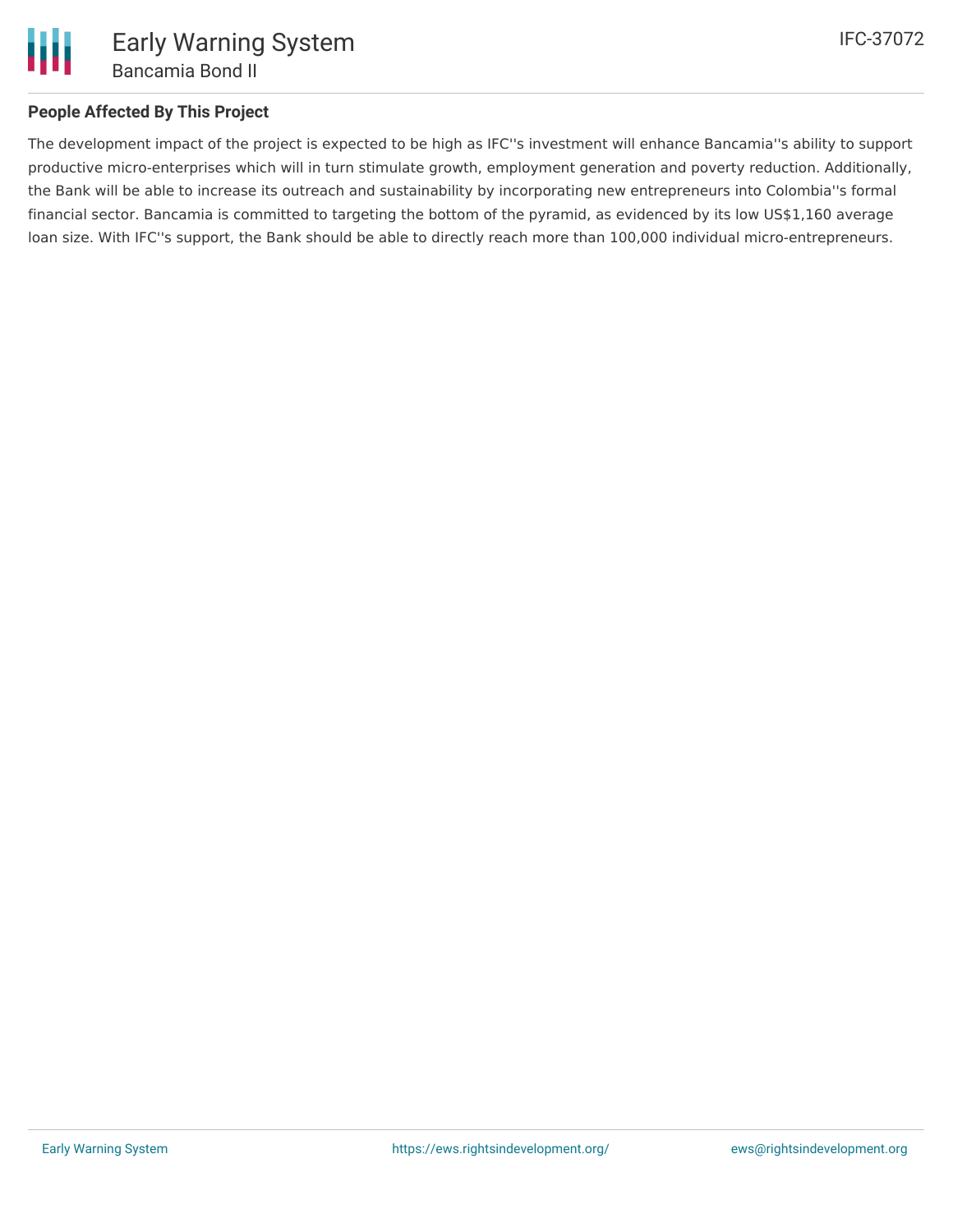

## **People Affected By This Project**

The development impact of the project is expected to be high as IFC''s investment will enhance Bancamia''s ability to support productive micro-enterprises which will in turn stimulate growth, employment generation and poverty reduction. Additionally, the Bank will be able to increase its outreach and sustainability by incorporating new entrepreneurs into Colombia''s formal financial sector. Bancamia is committed to targeting the bottom of the pyramid, as evidenced by its low US\$1,160 average loan size. With IFC''s support, the Bank should be able to directly reach more than 100,000 individual micro-entrepreneurs.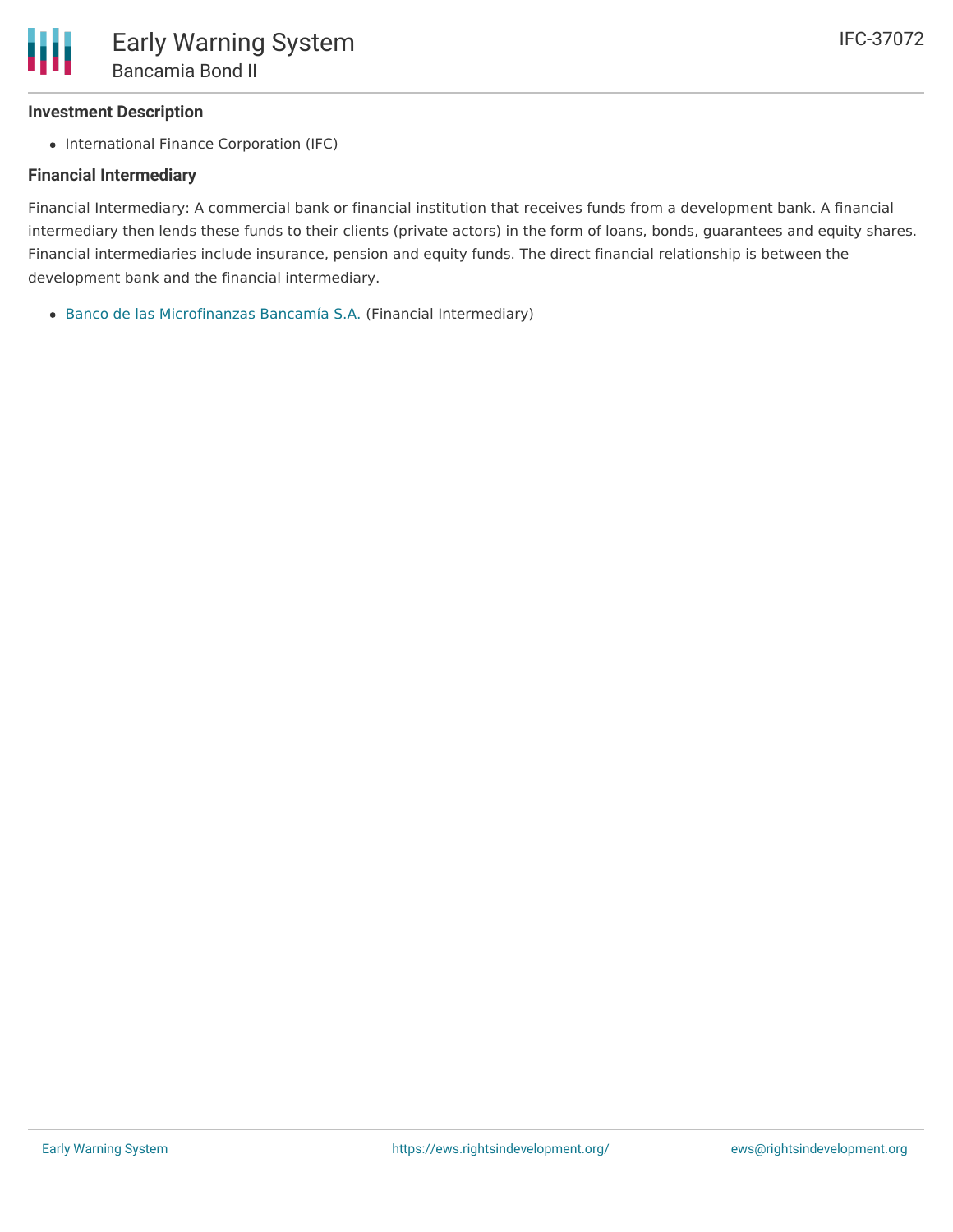### **Investment Description**

• International Finance Corporation (IFC)

#### **Financial Intermediary**

Financial Intermediary: A commercial bank or financial institution that receives funds from a development bank. A financial intermediary then lends these funds to their clients (private actors) in the form of loans, bonds, guarantees and equity shares. Financial intermediaries include insurance, pension and equity funds. The direct financial relationship is between the development bank and the financial intermediary.

Banco de las [Microfinanzas](file:///actor/1002/) Bancamía S.A. (Financial Intermediary)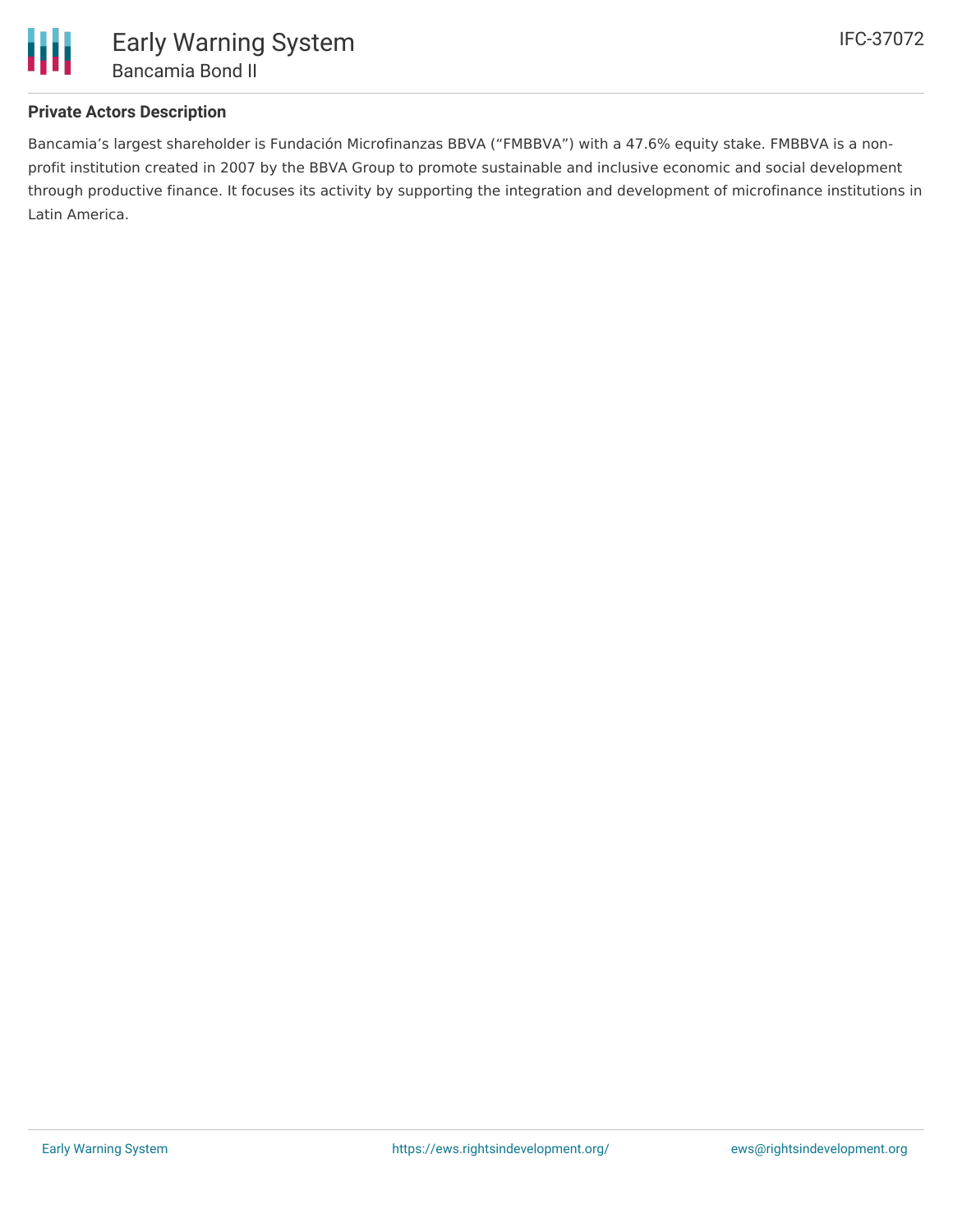

# **Private Actors Description**

Bancamia's largest shareholder is Fundación Microfinanzas BBVA ("FMBBVA") with a 47.6% equity stake. FMBBVA is a nonprofit institution created in 2007 by the BBVA Group to promote sustainable and inclusive economic and social development through productive finance. It focuses its activity by supporting the integration and development of microfinance institutions in Latin America.